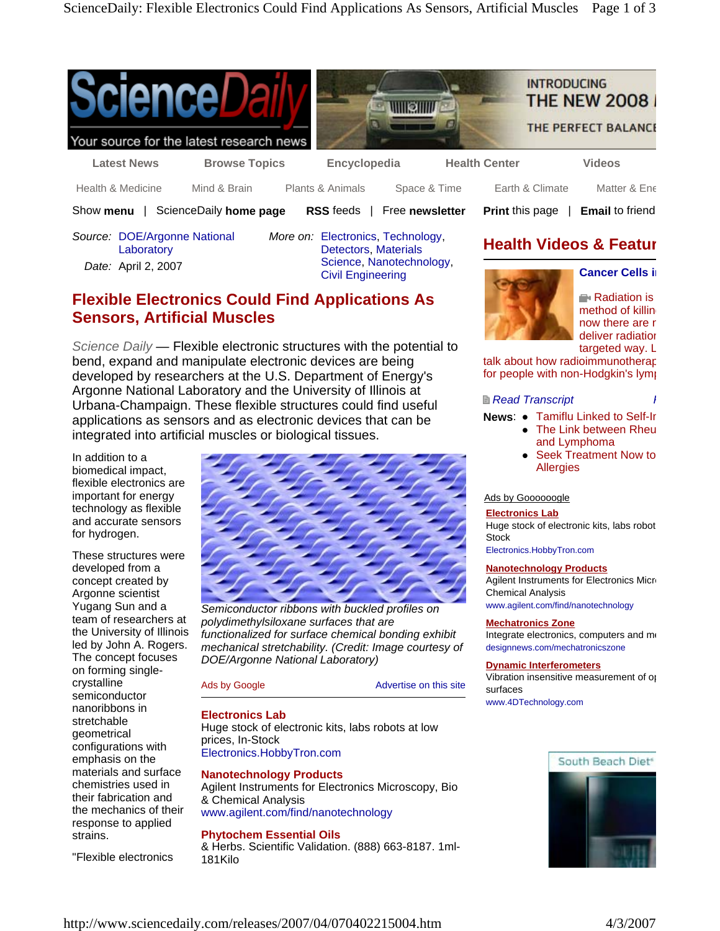





**Print** this page | **Email** to friend

**Health Videos & Featur**

Your source for the latest research news

**Latest News Browse Topics Encyclopedia Health Center Videos** 

Health & Medicine Mind & Brain Plants & Animals Space & Time Earth & Climate Matter & Ene

Show **menu** | ScienceDaily **home page RSS** feeds | Free **newsletter**

*Source:* DOE/Argonne National **Laboratory** *Date:* April 2, 2007

*More on:* Electronics, Technology, Detectors, Materials Science, Nanotechnology, Civil Engineering

# **Flexible Electronics Could Find Applications As Sensors, Artificial Muscles**

*Science Daily —* Flexible electronic structures with the potential to bend, expand and manipulate electronic devices are being developed by researchers at the U.S. Department of Energy's Argonne National Laboratory and the University of Illinois at Urbana-Champaign. These flexible structures could find useful applications as sensors and as electronic devices that can be integrated into artificial muscles or biological tissues.

In addition to a biomedical impact, flexible electronics are important for energy technology as flexible and accurate sensors for hydrogen.

These structures were developed from a concept created by Argonne scientist Yugang Sun and a team of researchers at the University of Illinois led by John A. Rogers. The concept focuses on forming singlecrystalline semiconductor nanoribbons in stretchable geometrical configurations with emphasis on the materials and surface chemistries used in their fabrication and the mechanics of their response to applied strains.

"Flexible electronics



*Semiconductor ribbons with buckled profiles on polydimethylsiloxane surfaces that are functionalized for surface chemical bonding exhibit mechanical stretchability. (Credit: Image courtesy of DOE/Argonne National Laboratory)*

Ads by Google **Advertise** on this site

# **Electronics Lab**

Huge stock of electronic kits, labs robots at low prices, In-Stock Electronics.HobbyTron.com

# **Nanotechnology Products**

Agilent Instruments for Electronics Microscopy, Bio & Chemical Analysis www.agilent.com/find/nanotechnology

# **Phytochem Essential Oils**

& Herbs. Scientific Validation. (888) 663-8187. 1ml-181Kilo



Radiation is method of killing now there are r deliver radiation

**Cancer Cells in**

targeted way. L

talk about how radioimmunotherap for people with non-Hodgkin's lymp

## *Read Transcript Read Transcript Read <b>Read Transcript Read <b>R*

**News:** • Tamiflu Linked to Self-In

- The Link between Rheu and Lymphoma
- Seek Treatment Now to **Allergies**

# Ads by Goooooogle

## **Electronics Lab**

Huge stock of electronic kits, labs robot **Stock** 

Electronics.HobbyTron.com

## **Nanotechnology Products**

Agilent Instruments for Electronics Micro Chemical Analysis www.agilent.com/find/nanotechnology

## **Mechatronics Zone**

Integrate electronics, computers and me designnews.com/mechatronicszone

## **Dynamic Interferometers**

Vibration insensitive measurement of op surfaces www.4DTechnology.com

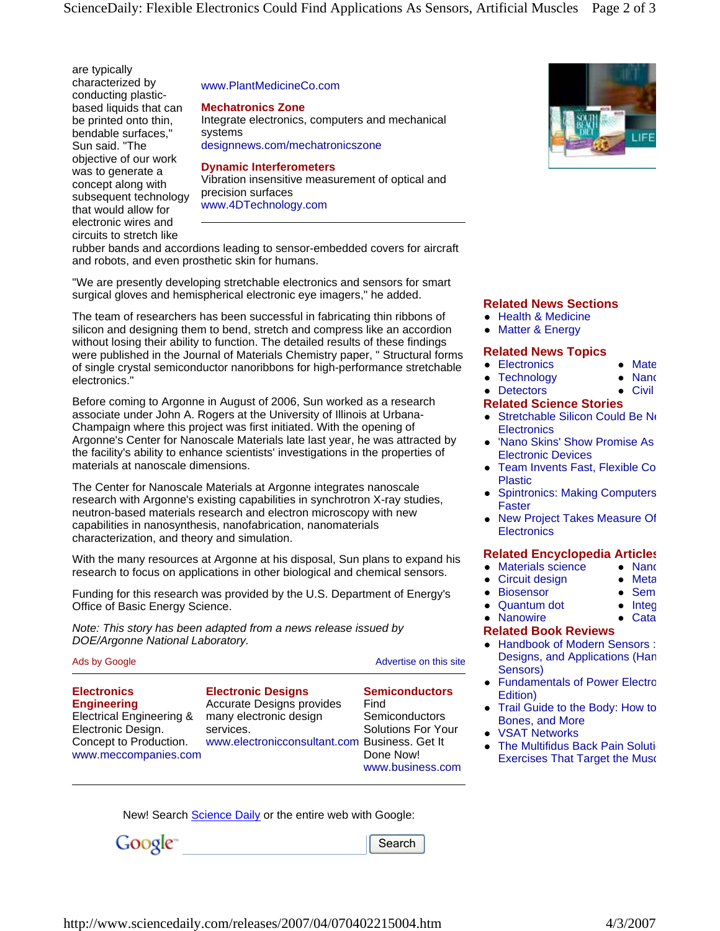are typically characterized by conducting plasticbased liquids that can be printed onto thin, bendable surfaces," Sun said. "The objective of our work was to generate a concept along with subsequent technology that would allow for electronic wires and circuits to stretch like

#### www.PlantMedicineCo.com

**Mechatronics Zone**

Integrate electronics, computers and mechanical systems designnews.com/mechatronicszone

#### **Dynamic Interferometers**

Vibration insensitive measurement of optical and precision surfaces www.4DTechnology.com

rubber bands and accordions leading to sensor-embedded covers for aircraft and robots, and even prosthetic skin for humans.

"We are presently developing stretchable electronics and sensors for smart surgical gloves and hemispherical electronic eye imagers," he added.

The team of researchers has been successful in fabricating thin ribbons of silicon and designing them to bend, stretch and compress like an accordion without losing their ability to function. The detailed results of these findings were published in the Journal of Materials Chemistry paper, " Structural forms of single crystal semiconductor nanoribbons for high-performance stretchable electronics."

Before coming to Argonne in August of 2006, Sun worked as a research associate under John A. Rogers at the University of Illinois at Urbana-Champaign where this project was first initiated. With the opening of Argonne's Center for Nanoscale Materials late last year, he was attracted by the facility's ability to enhance scientists' investigations in the properties of materials at nanoscale dimensions.

The Center for Nanoscale Materials at Argonne integrates nanoscale research with Argonne's existing capabilities in synchrotron X-ray studies, neutron-based materials research and electron microscopy with new capabilities in nanosynthesis, nanofabrication, nanomaterials characterization, and theory and simulation.

With the many resources at Argonne at his disposal, Sun plans to expand his research to focus on applications in other biological and chemical sensors.

Funding for this research was provided by the U.S. Department of Energy's Office of Basic Energy Science.

*Note: This story has been adapted from a news release issued by DOE/Argonne National Laboratory.*

| Ads by Google                                                                                                                                           |                                                                                                                                                | Advertise on this site                                                                                        |  |
|---------------------------------------------------------------------------------------------------------------------------------------------------------|------------------------------------------------------------------------------------------------------------------------------------------------|---------------------------------------------------------------------------------------------------------------|--|
| <b>Electronics</b><br><b>Engineering</b><br><b>Electrical Engineering &amp;</b><br>Electronic Design.<br>Concept to Production.<br>www.meccompanies.com | <b>Electronic Designs</b><br>Accurate Designs provides<br>many electronic design<br>services.<br>www.electronicconsultant.com Business. Get It | <b>Semiconductors</b><br>Find<br>Semiconductors<br><b>Solutions For Your</b><br>Done Now!<br>www.business.com |  |

New! Search **Science Daily** or the entire web with Google:

Google<sup>®</sup>

Search



#### **Related News Sections**

- Health & Medicine
- Matter & Energy

#### **Related News Topics**

- Electronics
- $\bullet$  Technology  $\bullet$  Nanc
- Detectors  $\bullet$  Civil

 $\bullet$  Mate

• Sem  $\bullet$  Integ  $\bullet$  Cata

## **Related Science Stories**

- $\bullet$  Stretchable Silicon Could Be Ne **Electronics**
- 'Nano Skins' Show Promise As Electronic Devices
- Team Invents Fast, Flexible Co Plastic
- **Spintronics: Making Computers** Faster
- New Project Takes Measure Of **Electronics**

## **Related Encyclopedia Articles**

- Materials science  $\bullet$  Nanc  $\bullet$  Meta
- Circuit design
- **Biosensor**
- Quantum dot
- Nanowire

## **Related Book Reviews**

- Handbook of Modern Sensors : Designs, and Applications (Han Sensors)
- Fundamentals of Power Electro Edition)
- Trail Guide to the Body: How to Bones, and More
- **VSAT Networks**
- The Multifidus Back Pain Soluti Exercises That Target the Musc